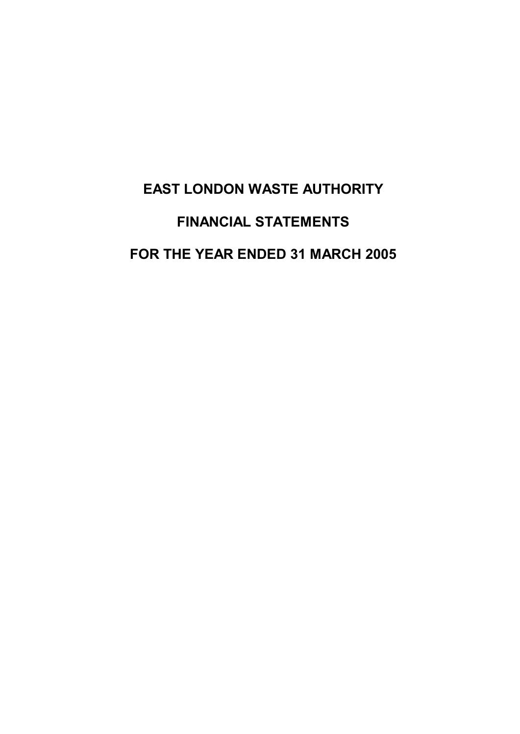# **EAST LONDON WASTE AUTHORITY FINANCIAL STATEMENTS FOR THE YEAR ENDED 31 MARCH 2005**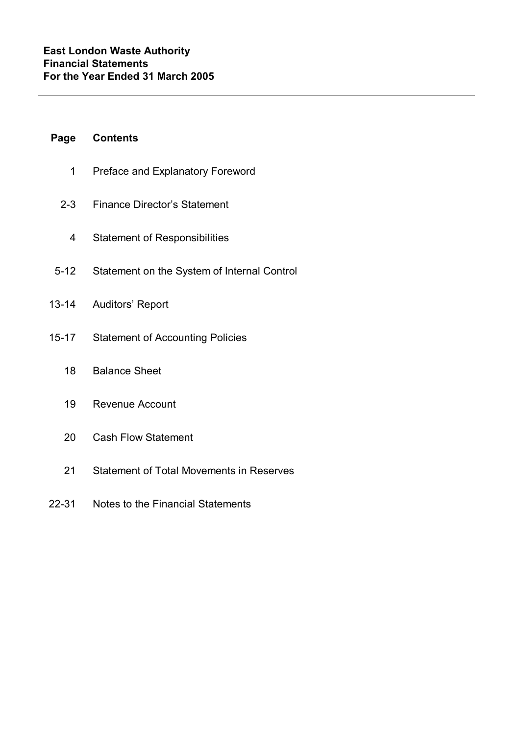#### **Page Contents**

- 1 Preface and Explanatory Foreword
- 23 Finance Director's Statement
	- 4 Statement of Responsibilities
- 512 Statement on the System of Internal Control
- 13-14 Auditors' Report
- 15-17 Statement of Accounting Policies
	- 18 Balance Sheet
	- 19 Revenue Account
	- 20 Cash Flow Statement
	- 21 Statement of Total Movements in Reserves
- 2231 Notes to the Financial Statements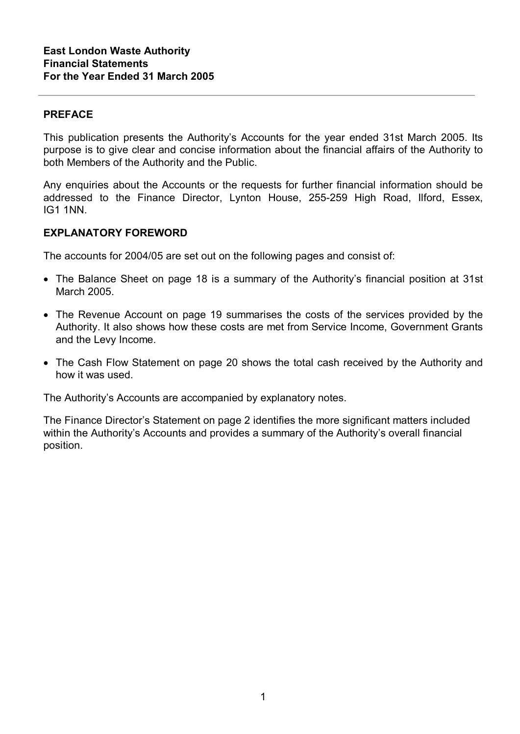# **PREFACE**

This publication presents the Authority's Accounts for the year ended 31st March 2005. Its purpose is to give clear and concise information about the financial affairs of the Authority to both Members of the Authority and the Public.

Any enquiries about the Accounts or the requests for further financial information should be addressed to the Finance Director, Lynton House, 255-259 High Road, Ilford, Essex, IG1 1NN.

# **EXPLANATORY FOREWORD**

The accounts for 2004/05 are set out on the following pages and consist of:

- The Balance Sheet on page 18 is a summary of the Authority's financial position at 31st March 2005.
- · The Revenue Account on page 19 summarises the costs of the services provided by the Authority. It also shows how these costs are met from Service Income, Government Grants and the Levy Income.
- The Cash Flow Statement on page 20 shows the total cash received by the Authority and how it was used.

The Authority's Accounts are accompanied by explanatory notes.

The Finance Director's Statement on page 2 identifies the more significant matters included within the Authority's Accounts and provides a summary of the Authority's overall financial position.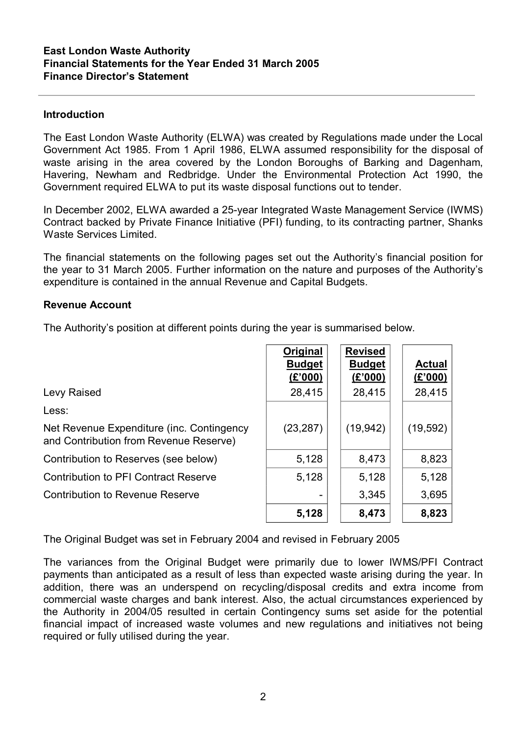# **East London Waste Authority Financial Statements for the Year Ended 31 March 2005 Finance Director's Statement**

#### **Introduction**

The East London Waste Authority (ELWA) was created by Regulations made under the Local Government Act 1985. From 1 April 1986, ELWA assumed responsibility for the disposal of waste arising in the area covered by the London Boroughs of Barking and Dagenham, Havering, Newham and Redbridge. Under the Environmental Protection Act 1990, the Government required ELWA to put its waste disposal functions out to tender.

In December 2002, ELWA awarded a 25year Integrated Waste Management Service (IWMS) Contract backed by Private Finance Initiative (PFI) funding, to its contracting partner, Shanks Waste Services Limited.

The financial statements on the following pages set out the Authority's financial position for the year to 31 March 2005. Further information on the nature and purposes of the Authority's expenditure is contained in the annual Revenue and Capital Budgets.

#### **Revenue Account**

The Authority's position at different points during the year is summarised below.

|                                                                                     | Original<br><b>Budget</b><br>(E'000) | <b>Revised</b><br><b>Budget</b><br><u>(£'000)</u> | <b>Actual</b><br><u>(£'000)</u> |  |
|-------------------------------------------------------------------------------------|--------------------------------------|---------------------------------------------------|---------------------------------|--|
| Levy Raised                                                                         | 28,415                               | 28,415                                            | 28,415                          |  |
| Less:                                                                               |                                      |                                                   |                                 |  |
| Net Revenue Expenditure (inc. Contingency<br>and Contribution from Revenue Reserve) | (23, 287)                            | (19, 942)                                         | (19, 592)                       |  |
| Contribution to Reserves (see below)                                                | 5,128                                | 8,473                                             | 8,823                           |  |
| <b>Contribution to PFI Contract Reserve</b>                                         | 5,128                                | 5,128                                             | 5,128                           |  |
| <b>Contribution to Revenue Reserve</b>                                              |                                      | 3,345                                             | 3,695                           |  |
|                                                                                     | 5,128                                | 8,473                                             | 8,823                           |  |

The Original Budget was set in February 2004 and revised in February 2005

The variances from the Original Budget were primarily due to lower IWMS/PFI Contract payments than anticipated as a result of less than expected waste arising during the year. In addition, there was an underspend on recycling/disposal credits and extra income from commercial waste charges and bank interest. Also, the actual circumstances experienced by the Authority in 2004/05 resulted in certain Contingency sums set aside for the potential financial impact of increased waste volumes and new regulations and initiatives not being required or fully utilised during the year.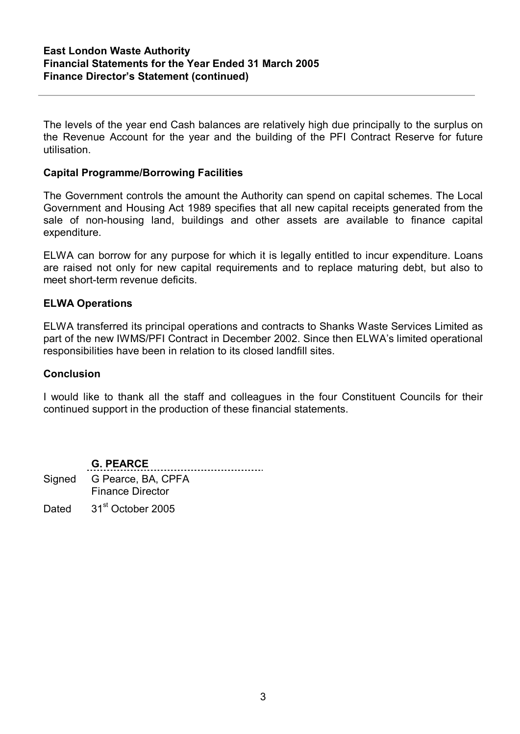#### **East London Waste Authority Financial Statements for the Year Ended 31 March 2005 Finance Director's Statement (continued)**

The levels of the year end Cash balances are relatively high due principally to the surplus on the Revenue Account for the year and the building of the PFI Contract Reserve for future utilisation.

#### **Capital Programme/Borrowing Facilities**

The Government controls the amount the Authority can spend on capital schemes. The Local Government and Housing Act 1989 specifies that all new capital receipts generated from the sale of non-housing land, buildings and other assets are available to finance capital expenditure.

ELWA can borrow for any purpose for which it is legally entitled to incur expenditure. Loans are raised not only for new capital requirements and to replace maturing debt, but also to meet short-term revenue deficits.

#### **ELWA Operations**

ELWA transferred its principal operations and contracts to Shanks Waste Services Limited as part of the new IWMS/PFI Contract in December 2002. Since then ELWA's limited operational responsibilities have been in relation to its closed landfill sites.

#### **Conclusion**

I would like to thank all the staff and colleagues in the four Constituent Councils for their continued support in the production of these financial statements.

**G. PEARCE**

Signed G Pearce, BA, CPFA Finance Director

Dated 31<sup>st</sup> October 2005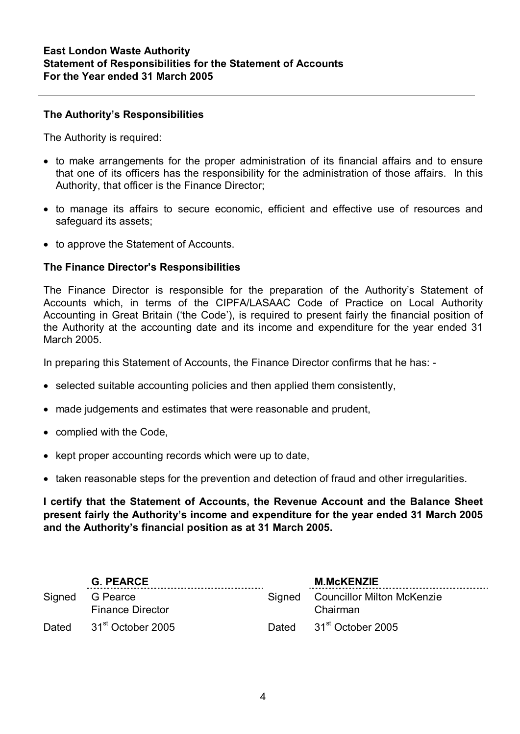#### **The Authority's Responsibilities**

The Authority is required:

- · to make arrangements for the proper administration of its financial affairs and to ensure that one of its officers has the responsibility for the administration of those affairs. In this Authority, that officer is the Finance Director;
- · to manage its affairs to secure economic, efficient and effective use of resources and safeguard its assets;
- · to approve the Statement of Accounts.

#### **The Finance Director's Responsibilities**

The Finance Director is responsible for the preparation of the Authority's Statement of Accounts which, in terms of the CIPFA/LASAAC Code of Practice on Local Authority Accounting in Great Britain ('the Code'), is required to present fairly the financial position of the Authority at the accounting date and its income and expenditure for the year ended 31 March 2005.

In preparing this Statement of Accounts, the Finance Director confirms that he has:

- · selected suitable accounting policies and then applied them consistently,
- · made judgements and estimates that were reasonable and prudent,
- complied with the Code,
- kept proper accounting records which were up to date,
- · taken reasonable steps for the prevention and detection of fraud and other irregularities.

**I certify that the Statement of Accounts, the Revenue Account and the Balance Sheet present fairly the Authority's income and expenditure for the year ended 31 March 2005 and the Authority's financial position as at 31 March 2005.** 

|       | <b>G. PEARCE</b>                           | <b>M.McKENZIE</b>                             |
|-------|--------------------------------------------|-----------------------------------------------|
|       | Signed G Pearce<br><b>Finance Director</b> | Signed Councillor Milton McKenzie<br>Chairman |
| Dated | 31 <sup>st</sup> October 2005              | Dated 31 <sup>st</sup> October 2005           |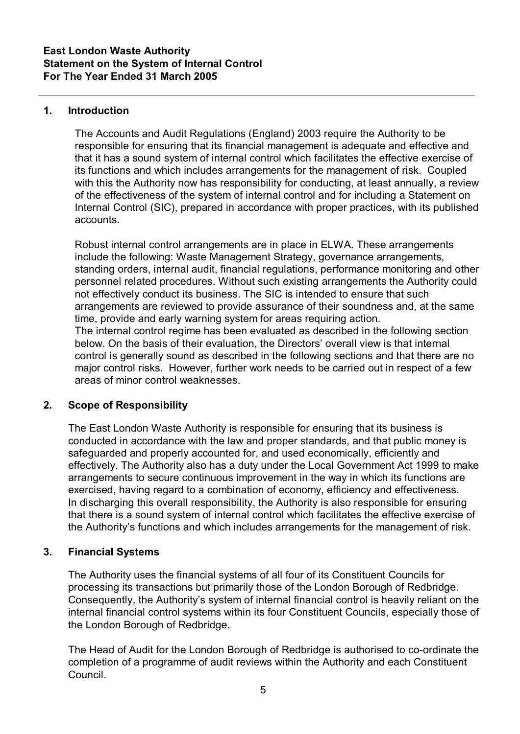# **1. Introduction**

The Accounts and Audit Regulations (England) 2003 require the Authority to be responsible for ensuring that its financial management is adequate and effective and that it has a sound system of internal control which facilitates the effective exercise of its functions and which includes arrangements for the management of risk. Coupled with this the Authority now has responsibility for conducting, at least annually, a review of the effectiveness of the system of internal control and for including a Statement on Internal Control (SIC), prepared in accordance with proper practices, with its published accounts.

Robust internal control arrangements are in place in ELWA. These arrangements include the following: Waste Management Strategy, governance arrangements, standing orders, internal audit, financial regulations, performance monitoring and other personnel related procedures. Without such existing arrangements the Authority could not effectively conduct its business. The SIC is intended to ensure that such arrangements are reviewed to provide assurance of their soundness and, at the same time, provide and early warning system for areas requiring action. The internal control regime has been evaluated as described in the following section below. On the basis of their evaluation, the Directors' overall view is that internal control is generally sound as described in the following sections and that there are no major control risks. However, further work needs to be carried out in respect of a few areas of minor control weaknesses.

# **2. Scope of Responsibility**

The East London Waste Authority is responsible for ensuring that its business is conducted in accordance with the law and proper standards, and that public money is safeguarded and properly accounted for, and used economically, efficiently and effectively. The Authority also has a duty under the Local Government Act 1999 to make arrangements to secure continuous improvement in the way in which its functions are exercised, having regard to a combination of economy, efficiency and effectiveness. In discharging this overall responsibility, the Authority is also responsible for ensuring that there is a sound system of internal control which facilitates the effective exercise of the Authority's functions and which includes arrangements for the management of risk.

# **3. Financial Systems**

The Authority uses the financial systems of all four of its Constituent Councils for processing its transactions but primarily those of the London Borough of Redbridge. Consequently, the Authority's system of internal financial control is heavily reliant on the internal financial control systems within its four Constituent Councils, especially those of the London Borough of Redbridge**.**

The Head of Audit for the London Borough of Redbridge is authorised to co-ordinate the completion of a programme of audit reviews within the Authority and each Constituent Council.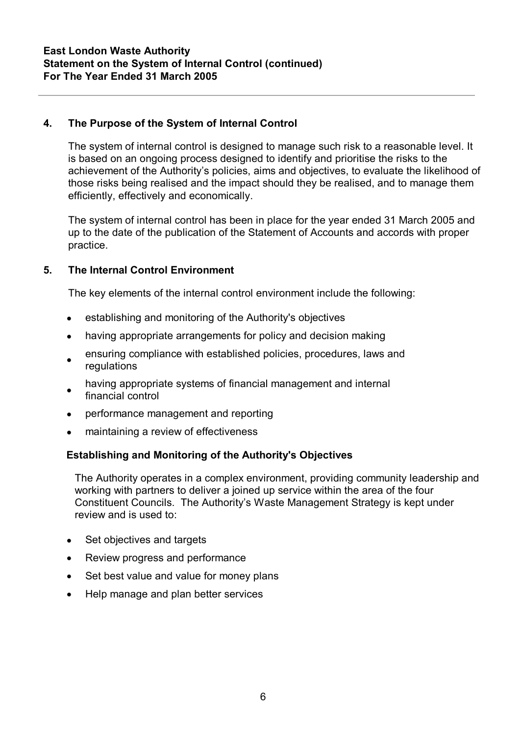# **4. The Purpose of the System of Internal Control**

The system of internal control is designed to manage such risk to a reasonable level. It is based on an ongoing process designed to identify and prioritise the risks to the achievement of the Authority's policies, aims and objectives, to evaluate the likelihood of those risks being realised and the impact should they be realised, and to manage them efficiently, effectively and economically.

The system of internal control has been in place for the year ended 31 March 2005 and up to the date of the publication of the Statement of Accounts and accords with proper practice.

# **5. The Internal Control Environment**

The key elements of the internal control environment include the following:

- establishing and monitoring of the Authority's objectives
- having appropriate arrangements for policy and decision making
- ensuring compliance with established policies, procedures, laws and regulations
- having appropriate systems of financial management and internal financial control
- performance management and reporting
- maintaining a review of effectiveness

# **Establishing and Monitoring of the Authority's Objectives**

The Authority operates in a complex environment, providing community leadership and working with partners to deliver a joined up service within the area of the four Constituent Councils. The Authority's Waste Management Strategy is kept under review and is used to:

- Set objectives and targets
- Review progress and performance
- Set best value and value for money plans
- · Help manage and plan better services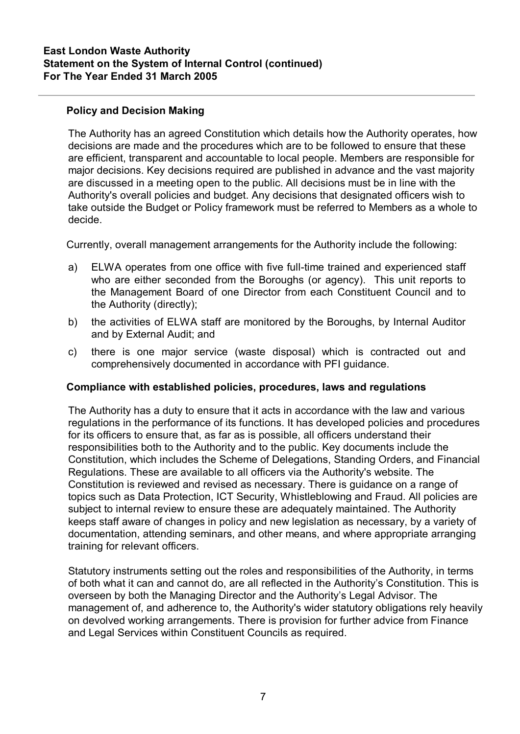# **Policy and Decision Making**

The Authority has an agreed Constitution which details how the Authority operates, how decisions are made and the procedures which are to be followed to ensure that these are efficient, transparent and accountable to local people. Members are responsible for major decisions. Key decisions required are published in advance and the vast majority are discussed in a meeting open to the public. All decisions must be in line with the Authority's overall policies and budget. Any decisions that designated officers wish to take outside the Budget or Policy framework must be referred to Members as a whole to decide.

Currently, overall management arrangements for the Authority include the following:

- a) ELWA operates from one office with five full-time trained and experienced staff who are either seconded from the Boroughs (or agency). This unit reports to the Management Board of one Director from each Constituent Council and to the Authority (directly);
- b) the activities of ELWA staff are monitored by the Boroughs, by Internal Auditor and by External Audit; and
- c) there is one major service (waste disposal) which is contracted out and comprehensively documented in accordance with PFI guidance.

#### **Compliance with established policies, procedures, laws and regulations**

The Authority has a duty to ensure that it acts in accordance with the law and various regulations in the performance of its functions. It has developed policies and procedures for its officers to ensure that, as far as is possible, all officers understand their responsibilities both to the Authority and to the public. Key documents include the Constitution, which includes the Scheme of Delegations, Standing Orders, and Financial Regulations. These are available to all officers via the Authority's website. The Constitution is reviewed and revised as necessary. There is guidance on a range of topics such as Data Protection, ICT Security, Whistleblowing and Fraud. All policies are subject to internal review to ensure these are adequately maintained. The Authority keeps staff aware of changes in policy and new legislation as necessary, by a variety of documentation, attending seminars, and other means, and where appropriate arranging training for relevant officers.

Statutory instruments setting out the roles and responsibilities of the Authority, in terms of both what it can and cannot do, are all reflected in the Authority's Constitution. This is overseen by both the Managing Director and the Authority's Legal Advisor. The management of, and adherence to, the Authority's wider statutory obligations rely heavily on devolved working arrangements. There is provision for further advice from Finance and Legal Services within Constituent Councils as required.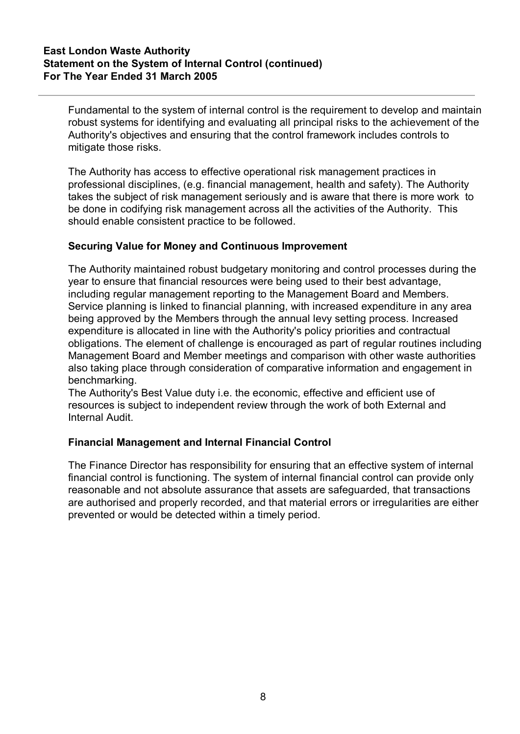Fundamental to the system of internal control is the requirement to develop and maintain robust systems for identifying and evaluating all principal risks to the achievement of the Authority's objectives and ensuring that the control framework includes controls to mitigate those risks.

The Authority has access to effective operational risk management practices in professional disciplines, (e.g. financial management, health and safety). The Authority takes the subject of risk management seriously and is aware that there is more work to be done in codifying risk management across all the activities of the Authority. This should enable consistent practice to be followed.

#### **Securing Value for Money and Continuous Improvement**

The Authority maintained robust budgetary monitoring and control processes during the year to ensure that financial resources were being used to their best advantage, including regular management reporting to the Management Board and Members. Service planning is linked to financial planning, with increased expenditure in any area being approved by the Members through the annual levy setting process. Increased expenditure is allocated in line with the Authority's policy priorities and contractual obligations. The element of challenge is encouraged as part of regular routines including Management Board and Member meetings and comparison with other waste authorities also taking place through consideration of comparative information and engagement in benchmarking.

The Authority's Best Value duty i.e. the economic, effective and efficient use of resources is subject to independent review through the work of both External and Internal Audit.

#### **Financial Management and Internal Financial Control**

The Finance Director has responsibility for ensuring that an effective system of internal financial control is functioning. The system of internal financial control can provide only reasonable and not absolute assurance that assets are safeguarded, that transactions are authorised and properly recorded, and that material errors or irregularities are either prevented or would be detected within a timely period.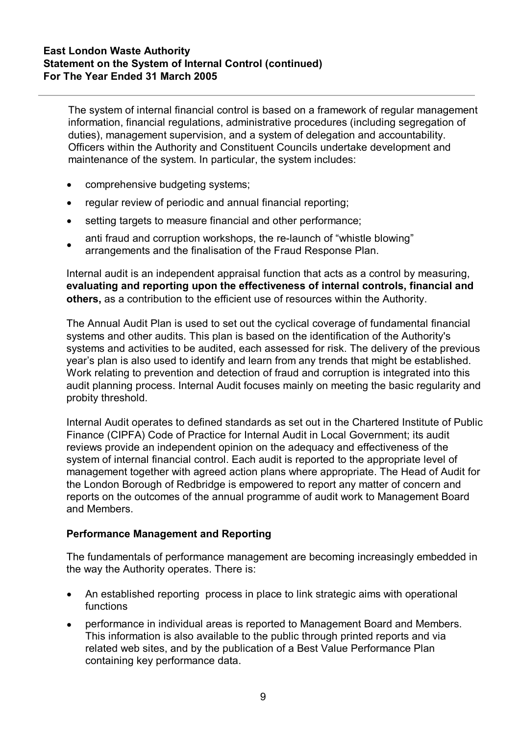The system of internal financial control is based on a framework of regular management information, financial regulations, administrative procedures (including segregation of duties), management supervision, and a system of delegation and accountability. Officers within the Authority and Constituent Councils undertake development and maintenance of the system. In particular, the system includes:

- comprehensive budgeting systems;
- regular review of periodic and annual financial reporting:
- setting targets to measure financial and other performance;
- anti fraud and corruption workshops, the re-launch of "whistle blowing" arrangements and the finalisation of the Fraud Response Plan.
- 

Internal audit is an independent appraisal function that acts as a control by measuring, **evaluating and reporting upon the effectiveness of internal controls, financial and others,** as a contribution to the efficient use of resources within the Authority.

The Annual Audit Plan is used to set out the cyclical coverage of fundamental financial systems and other audits. This plan is based on the identification of the Authority's systems and activities to be audited, each assessed for risk. The delivery of the previous year's plan is also used to identify and learn from any trends that might be established. Work relating to prevention and detection of fraud and corruption is integrated into this audit planning process. Internal Audit focuses mainly on meeting the basic regularity and probity threshold.

Internal Audit operates to defined standards as set out in the Chartered Institute of Public Finance (CIPFA) Code of Practice for Internal Audit in Local Government; its audit reviews provide an independent opinion on the adequacy and effectiveness of the system of internal financial control. Each audit is reported to the appropriate level of management together with agreed action plans where appropriate. The Head of Audit for the London Borough of Redbridge is empowered to report any matter of concern and reports on the outcomes of the annual programme of audit work to Management Board and Members.

# **Performance Management and Reporting**

The fundamentals of performance management are becoming increasingly embedded in the way the Authority operates. There is:

- · An established reporting process in place to link strategic aims with operational functions
- performance in individual areas is reported to Management Board and Members. This information is also available to the public through printed reports and via related web sites, and by the publication of a Best Value Performance Plan containing key performance data.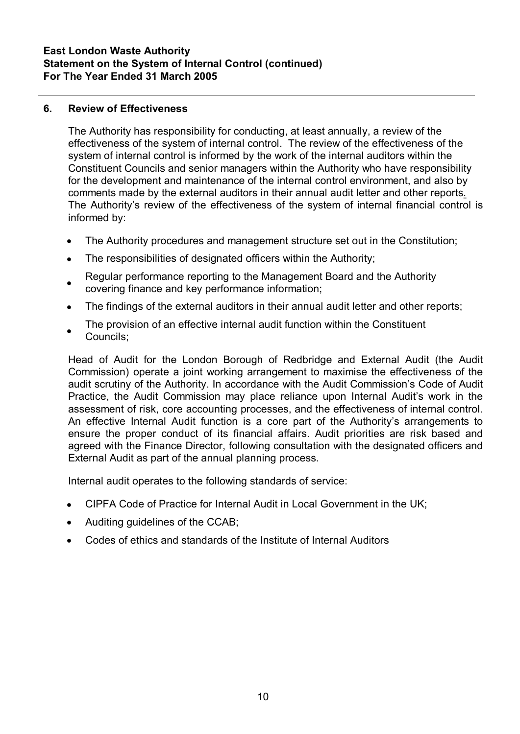#### **6. Review of Effectiveness**

The Authority has responsibility for conducting, at least annually, a review of the effectiveness of the system of internal control. The review of the effectiveness of the system of internal control is informed by the work of the internal auditors within the Constituent Councils and senior managers within the Authority who have responsibility for the development and maintenance of the internal control environment, and also by comments made by the external auditors in their annual audit letter and other reports*.* The Authority's review of the effectiveness of the system of internal financial control is informed by:

- · The Authority procedures and management structure set out in the Constitution;
- The responsibilities of designated officers within the Authority;
- Regular performance reporting to the Management Board and the Authority covering finance and key performance information;
- The findings of the external auditors in their annual audit letter and other reports;
- The provision of an effective internal audit function within the Constituent Councils;

Head of Audit for the London Borough of Redbridge and External Audit (the Audit Commission) operate a joint working arrangement to maximise the effectiveness of the audit scrutiny of the Authority. In accordance with the Audit Commission's Code of Audit Practice, the Audit Commission may place reliance upon Internal Audit's work in the assessment of risk, core accounting processes, and the effectiveness of internal control. An effective Internal Audit function is a core part of the Authority's arrangements to ensure the proper conduct of its financial affairs. Audit priorities are risk based and agreed with the Finance Director, following consultation with the designated officers and External Audit as part of the annual planning process.

Internal audit operates to the following standards of service:

- · CIPFA Code of Practice for Internal Audit in Local Government in the UK;
- Auditing guidelines of the CCAB;
- Codes of ethics and standards of the Institute of Internal Auditors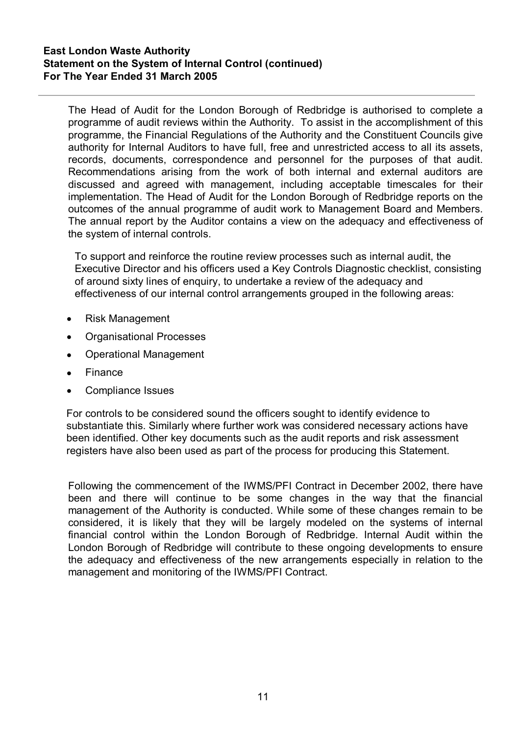The Head of Audit for the London Borough of Redbridge is authorised to complete a programme of audit reviews within the Authority. To assist in the accomplishment of this programme, the Financial Regulations of the Authority and the Constituent Councils give authority for Internal Auditors to have full, free and unrestricted access to all its assets, records, documents, correspondence and personnel for the purposes of that audit. Recommendations arising from the work of both internal and external auditors are discussed and agreed with management, including acceptable timescales for their implementation. The Head of Audit for the London Borough of Redbridge reports on the outcomes of the annual programme of audit work to Management Board and Members. The annual report by the Auditor contains a view on the adequacy and effectiveness of the system of internal controls.

To support and reinforce the routine review processes such as internal audit, the Executive Director and his officers used a Key Controls Diagnostic checklist, consisting of around sixty lines of enquiry, to undertake a review of the adequacy and effectiveness of our internal control arrangements grouped in the following areas:

- **Risk Management**
- · Organisational Processes
- · Operational Management
- · Finance
- Compliance Issues

For controls to be considered sound the officers sought to identify evidence to substantiate this. Similarly where further work was considered necessary actions have been identified. Other key documents such as the audit reports and risk assessment registers have also been used as part of the process for producing this Statement.

Following the commencement of the IWMS/PFI Contract in December 2002, there have been and there will continue to be some changes in the way that the financial management of the Authority is conducted. While some of these changes remain to be considered, it is likely that they will be largely modeled on the systems of internal financial control within the London Borough of Redbridge. Internal Audit within the London Borough of Redbridge will contribute to these ongoing developments to ensure the adequacy and effectiveness of the new arrangements especially in relation to the management and monitoring of the IWMS/PFI Contract.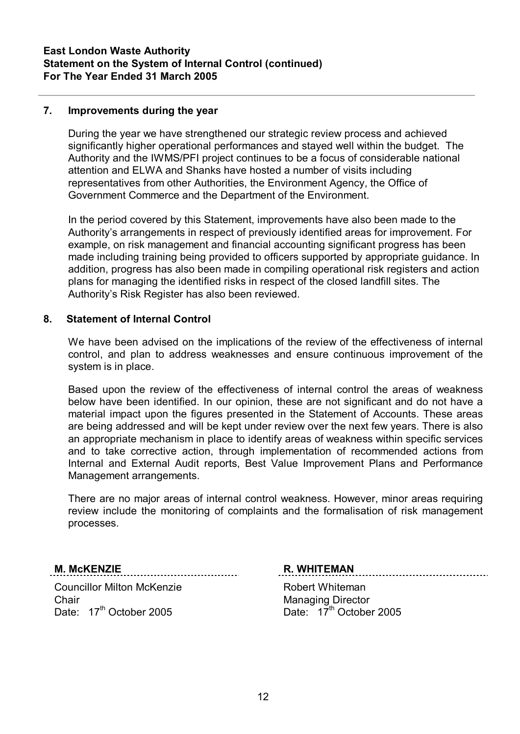#### **7. Improvements during the year**

During the year we have strengthened our strategic review process and achieved significantly higher operational performances and stayed well within the budget. The Authority and the IWMS/PFI project continues to be a focus of considerable national attention and ELWA and Shanks have hosted a number of visits including representatives from other Authorities, the Environment Agency, the Office of Government Commerce and the Department of the Environment.

In the period covered by this Statement, improvements have also been made to the Authority's arrangements in respect of previously identified areas for improvement. For example, on risk management and financial accounting significant progress has been made including training being provided to officers supported by appropriate guidance. In addition, progress has also been made in compiling operational risk registers and action plans for managing the identified risks in respect of the closed landfill sites. The Authority's Risk Register has also been reviewed.

#### **8. Statement of Internal Control**

We have been advised on the implications of the review of the effectiveness of internal control, and plan to address weaknesses and ensure continuous improvement of the system is in place.

Based upon the review of the effectiveness of internal control the areas of weakness below have been identified. In our opinion, these are not significant and do not have a material impact upon the figures presented in the Statement of Accounts. These areas are being addressed and will be kept under review over the next few years. There is also an appropriate mechanism in place to identify areas of weakness within specific services and to take corrective action, through implementation of recommended actions from Internal and External Audit reports, Best Value Improvement Plans and Performance Management arrangements.

There are no major areas of internal control weakness. However, minor areas requiring review include the monitoring of complaints and the formalisation of risk management processes.

Councillor Milton McKenzie **Example 20 Figure 10** Robert Whiteman Chair Chair **Chair** Managing Director<br>
Date: 17<sup>th</sup> October 2005 **Managing Director** Date: 17<sup>th</sup> Octobe

#### **M. McKENZIE R. WHITEMAN**

Date: 17<sup>th</sup> October 2005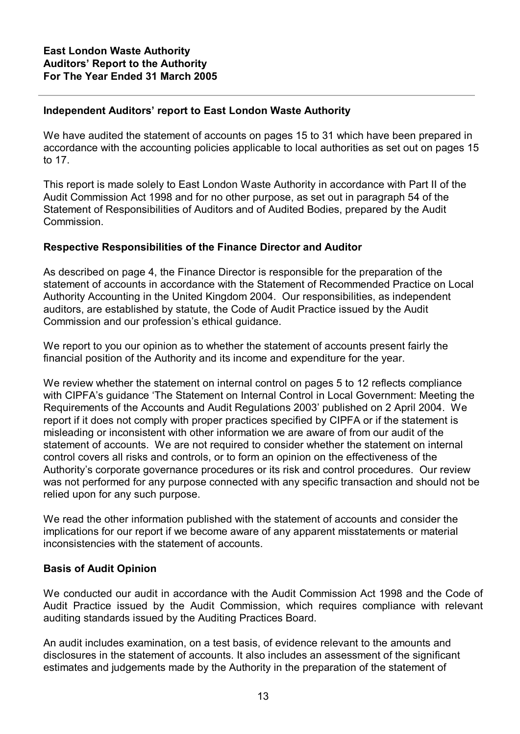# **Independent Auditors' report to East London Waste Authority**

We have audited the statement of accounts on pages 15 to 31 which have been prepared in accordance with the accounting policies applicable to local authorities as set out on pages 15 to 17.

This report is made solely to East London Waste Authority in accordance with Part II of the Audit Commission Act 1998 and for no other purpose, as set out in paragraph 54 of the Statement of Responsibilities of Auditors and of Audited Bodies, prepared by the Audit Commission.

# **Respective Responsibilities of the Finance Director and Auditor**

As described on page 4, the Finance Director is responsible for the preparation of the statement of accounts in accordance with the Statement of Recommended Practice on Local Authority Accounting in the United Kingdom 2004. Our responsibilities, as independent auditors, are established by statute, the Code of Audit Practice issued by the Audit Commission and our profession's ethical guidance.

We report to you our opinion as to whether the statement of accounts present fairly the financial position of the Authority and its income and expenditure for the year.

We review whether the statement on internal control on pages 5 to 12 reflects compliance with CIPFA's guidance 'The Statement on Internal Control in Local Government: Meeting the Requirements of the Accounts and Audit Regulations 2003' published on 2 April 2004. We report if it does not comply with proper practices specified by CIPFA or if the statement is misleading or inconsistent with other information we are aware of from our audit of the statement of accounts. We are not required to consider whether the statement on internal control covers all risks and controls, or to form an opinion on the effectiveness of the Authority's corporate governance procedures or its risk and control procedures. Our review was not performed for any purpose connected with any specific transaction and should not be relied upon for any such purpose.

We read the other information published with the statement of accounts and consider the implications for our report if we become aware of any apparent misstatements or material inconsistencies with the statement of accounts.

# **Basis of Audit Opinion**

We conducted our audit in accordance with the Audit Commission Act 1998 and the Code of Audit Practice issued by the Audit Commission, which requires compliance with relevant auditing standards issued by the Auditing Practices Board.

An audit includes examination, on a test basis, of evidence relevant to the amounts and disclosures in the statement of accounts. It also includes an assessment of the significant estimates and judgements made by the Authority in the preparation of the statement of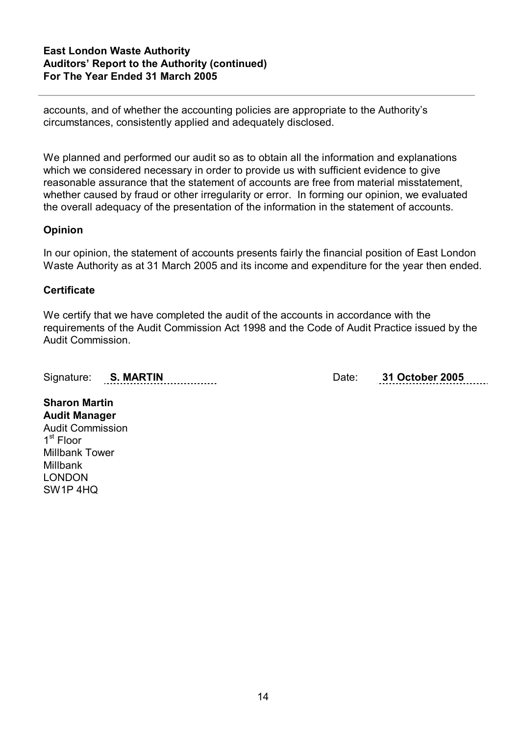## **East London Waste Authority Auditors' Report to the Authority (continued) For The Year Ended 31 March 2005**

accounts, and of whether the accounting policies are appropriate to the Authority's circumstances, consistently applied and adequately disclosed.

We planned and performed our audit so as to obtain all the information and explanations which we considered necessary in order to provide us with sufficient evidence to give reasonable assurance that the statement of accounts are free from material misstatement, whether caused by fraud or other irregularity or error. In forming our opinion, we evaluated the overall adequacy of the presentation of the information in the statement of accounts.

# **Opinion**

In our opinion, the statement of accounts presents fairly the financial position of East London Waste Authority as at 31 March 2005 and its income and expenditure for the year then ended.

# **Certificate**

We certify that we have completed the audit of the accounts in accordance with the requirements of the Audit Commission Act 1998 and the Code of Audit Practice issued by the Audit Commission.

Signature: **S. MARTIN CONSUMING CONSUMINGLY CONSUMINGLY Date: 31 October 2005** 

**Sharon Martin Audit Manager** Audit Commission  $1<sup>st</sup>$  Floor Millbank Tower Millbank LONDON SW1P 4HQ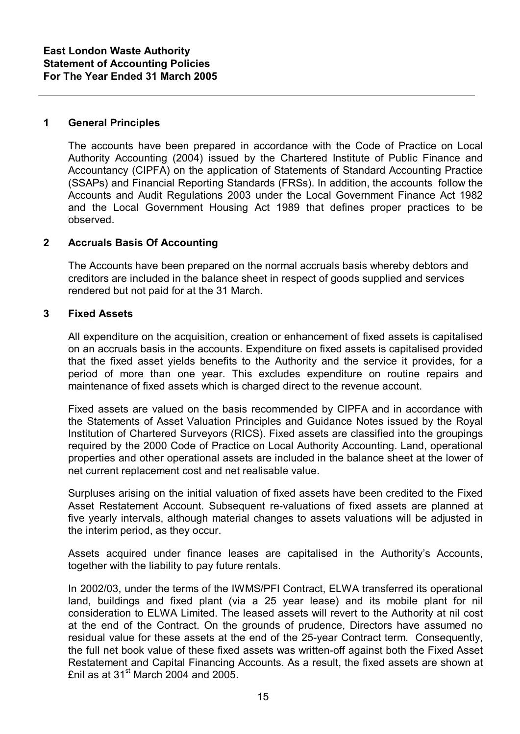#### **1 General Principles**

The accounts have been prepared in accordance with the Code of Practice on Local Authority Accounting (2004) issued by the Chartered Institute of Public Finance and Accountancy (CIPFA) on the application of Statements of Standard Accounting Practice (SSAPs) and Financial Reporting Standards (FRSs). In addition, the accounts follow the Accounts and Audit Regulations 2003 under the Local Government Finance Act 1982 and the Local Government Housing Act 1989 that defines proper practices to be observed.

#### **2 Accruals Basis Of Accounting**

The Accounts have been prepared on the normal accruals basis whereby debtors and creditors are included in the balance sheet in respect of goods supplied and services rendered but not paid for at the 31 March.

#### **3 Fixed Assets**

All expenditure on the acquisition, creation or enhancement of fixed assets is capitalised on an accruals basis in the accounts. Expenditure on fixed assets is capitalised provided that the fixed asset yields benefits to the Authority and the service it provides, for a period of more than one year. This excludes expenditure on routine repairs and maintenance of fixed assets which is charged direct to the revenue account.

Fixed assets are valued on the basis recommended by CIPFA and in accordance with the Statements of Asset Valuation Principles and Guidance Notes issued by the Royal Institution of Chartered Surveyors (RICS). Fixed assets are classified into the groupings required by the 2000 Code of Practice on Local Authority Accounting. Land, operational properties and other operational assets are included in the balance sheet at the lower of net current replacement cost and net realisable value.

Surpluses arising on the initial valuation of fixed assets have been credited to the Fixed Asset Restatement Account. Subsequent re-valuations of fixed assets are planned at five yearly intervals, although material changes to assets valuations will be adjusted in the interim period, as they occur.

Assets acquired under finance leases are capitalised in the Authority's Accounts, together with the liability to pay future rentals.

In 2002/03, under the terms of the IWMS/PFI Contract, ELWA transferred its operational land, buildings and fixed plant (via a 25 year lease) and its mobile plant for nil consideration to ELWA Limited. The leased assets will revert to the Authority at nil cost at the end of the Contract. On the grounds of prudence, Directors have assumed no residual value for these assets at the end of the 25-year Contract term. Consequently, the full net book value of these fixed assets was written-off against both the Fixed Asset Restatement and Capital Financing Accounts. As a result, the fixed assets are shown at  $Enil$  as at 31<sup>st</sup> March 2004 and 2005.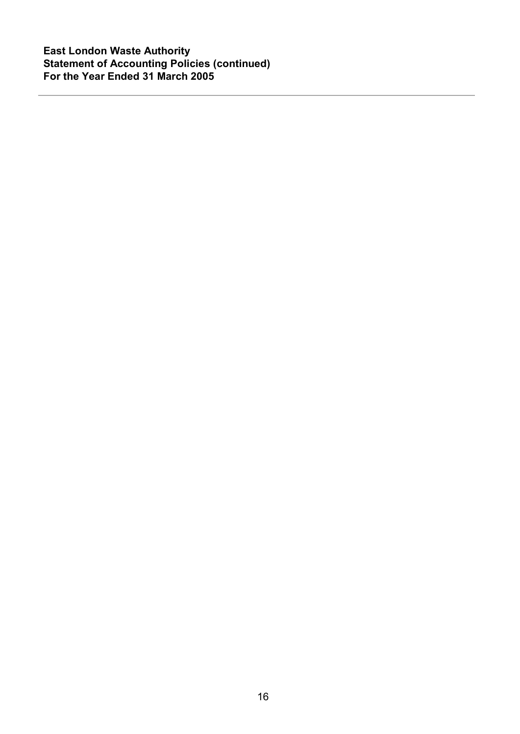# **East London Waste Authority Statement of Accounting Policies (continued) For the Year Ended 31 March 2005**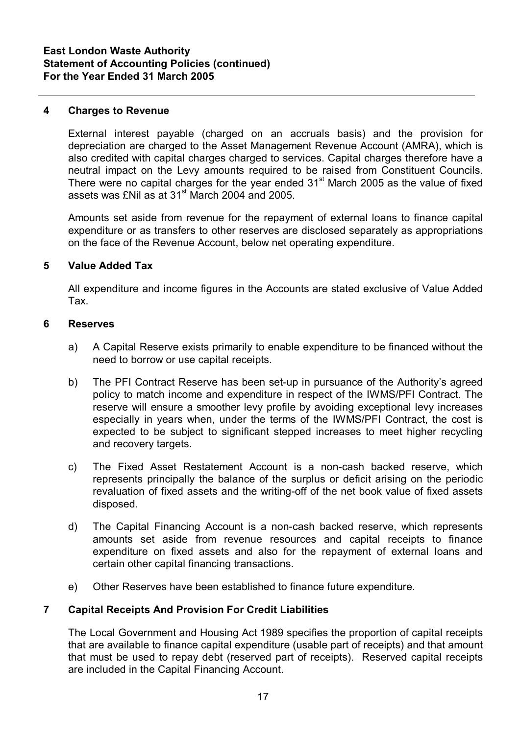#### **East London Waste Authority Statement of Accounting Policies (continued) For the Year Ended 31 March 2005**

#### **4 Charges to Revenue**

External interest payable (charged on an accruals basis) and the provision for depreciation are charged to the Asset Management Revenue Account (AMRA), which is also credited with capital charges charged to services. Capital charges therefore have a neutral impact on the Levy amounts required to be raised from Constituent Councils. There were no capital charges for the year ended  $31<sup>st</sup>$  March 2005 as the value of fixed assets was £Nil as at  $31<sup>st</sup>$  March 2004 and 2005.

Amounts set aside from revenue for the repayment of external loans to finance capital expenditure or as transfers to other reserves are disclosed separately as appropriations on the face of the Revenue Account, below net operating expenditure.

#### **5 Value Added Tax**

All expenditure and income figures in the Accounts are stated exclusive of Value Added Tax.

#### **6 Reserves**

- a) A Capital Reserve exists primarily to enable expenditure to be financed without the need to borrow or use capital receipts.
- b) The PFI Contract Reserve has been set-up in pursuance of the Authority's agreed policy to match income and expenditure in respect of the IWMS/PFI Contract. The reserve will ensure a smoother levy profile by avoiding exceptional levy increases especially in years when, under the terms of the IWMS/PFI Contract, the cost is expected to be subject to significant stepped increases to meet higher recycling and recovery targets.
- c) The Fixed Asset Restatement Account is a non-cash backed reserve, which represents principally the balance of the surplus or deficit arising on the periodic revaluation of fixed assets and the writing-off of the net book value of fixed assets disposed.
- d) The Capital Financing Account is a non-cash backed reserve, which represents amounts set aside from revenue resources and capital receipts to finance expenditure on fixed assets and also for the repayment of external loans and certain other capital financing transactions.
- e) Other Reserves have been established to finance future expenditure.

#### **7 Capital Receipts And Provision For Credit Liabilities**

The Local Government and Housing Act 1989 specifies the proportion of capital receipts that are available to finance capital expenditure (usable part of receipts) and that amount that must be used to repay debt (reserved part of receipts). Reserved capital receipts are included in the Capital Financing Account.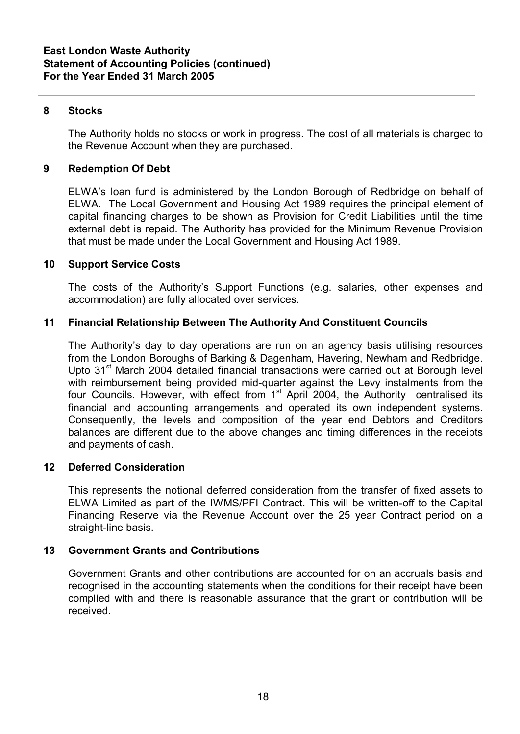# **8 Stocks**

The Authority holds no stocks or work in progress. The cost of all materials is charged to the Revenue Account when they are purchased.

#### **9 Redemption Of Debt**

ELWA's loan fund is administered by the London Borough of Redbridge on behalf of ELWA. The Local Government and Housing Act 1989 requires the principal element of capital financing charges to be shown as Provision for Credit Liabilities until the time external debt is repaid. The Authority has provided for the Minimum Revenue Provision that must be made under the Local Government and Housing Act 1989.

#### **10 Support Service Costs**

The costs of the Authority's Support Functions (e.g. salaries, other expenses and accommodation) are fully allocated over services.

#### **11 Financial Relationship Between The Authority And Constituent Councils**

The Authority's day to day operations are run on an agency basis utilising resources from the London Boroughs of Barking & Dagenham, Havering, Newham and Redbridge. Upto 31<sup>st</sup> March 2004 detailed financial transactions were carried out at Borough level with reimbursement being provided mid-quarter against the Levy instalments from the four Councils. However, with effect from  $1<sup>st</sup>$  April 2004, the Authority centralised its financial and accounting arrangements and operated its own independent systems. Consequently, the levels and composition of the year end Debtors and Creditors balances are different due to the above changes and timing differences in the receipts and payments of cash.

#### **12 Deferred Consideration**

This represents the notional deferred consideration from the transfer of fixed assets to ELWA Limited as part of the IWMS/PFI Contract. This will be written-off to the Capital Financing Reserve via the Revenue Account over the 25 year Contract period on a straight-line basis.

## **13 Government Grants and Contributions**

Government Grants and other contributions are accounted for on an accruals basis and recognised in the accounting statements when the conditions for their receipt have been complied with and there is reasonable assurance that the grant or contribution will be received.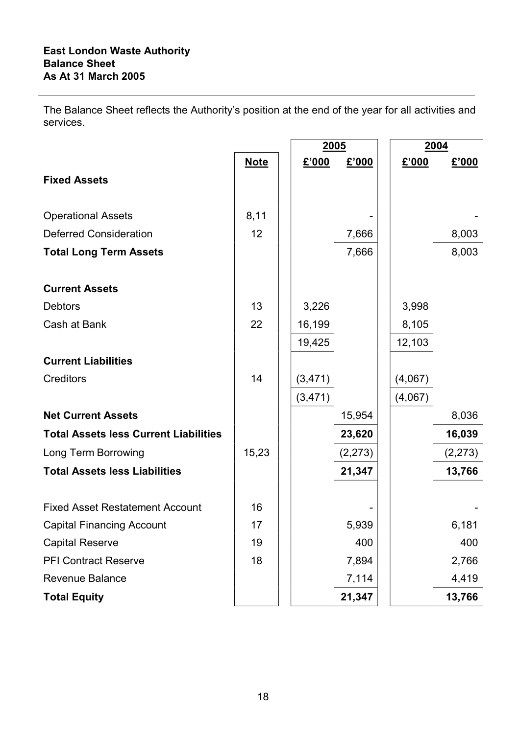The Balance Sheet reflects the Authority's position at the end of the year for all activities and services.

|                                              |             | 2005     |          | 2004 |         |          |  |
|----------------------------------------------|-------------|----------|----------|------|---------|----------|--|
|                                              | <b>Note</b> | £'000    | £'000    |      | £'000   | £'000    |  |
| <b>Fixed Assets</b>                          |             |          |          |      |         |          |  |
| <b>Operational Assets</b>                    | 8,11        |          |          |      |         |          |  |
| <b>Deferred Consideration</b>                | 12          |          | 7,666    |      |         | 8,003    |  |
| <b>Total Long Term Assets</b>                |             |          | 7,666    |      |         | 8,003    |  |
| <b>Current Assets</b>                        |             |          |          |      |         |          |  |
| <b>Debtors</b>                               | 13          | 3,226    |          |      | 3,998   |          |  |
| Cash at Bank                                 | 22          | 16,199   |          |      | 8,105   |          |  |
|                                              |             | 19,425   |          |      | 12,103  |          |  |
| <b>Current Liabilities</b>                   |             |          |          |      |         |          |  |
| Creditors                                    | 14          | (3, 471) |          |      | (4,067) |          |  |
|                                              |             | (3, 471) |          |      | (4,067) |          |  |
| <b>Net Current Assets</b>                    |             |          | 15,954   |      |         | 8,036    |  |
| <b>Total Assets less Current Liabilities</b> |             |          | 23,620   |      |         | 16,039   |  |
| Long Term Borrowing                          | 15,23       |          | (2, 273) |      |         | (2, 273) |  |
| <b>Total Assets less Liabilities</b>         |             |          | 21,347   |      |         | 13,766   |  |
| <b>Fixed Asset Restatement Account</b>       | 16          |          |          |      |         |          |  |
| <b>Capital Financing Account</b>             | 17          |          | 5,939    |      |         | 6,181    |  |
| <b>Capital Reserve</b>                       | 19          |          | 400      |      |         | 400      |  |
| <b>PFI Contract Reserve</b>                  | 18          |          | 7,894    |      |         | 2,766    |  |
| Revenue Balance                              |             |          | 7,114    |      |         | 4,419    |  |
| <b>Total Equity</b>                          |             |          | 21,347   |      |         | 13,766   |  |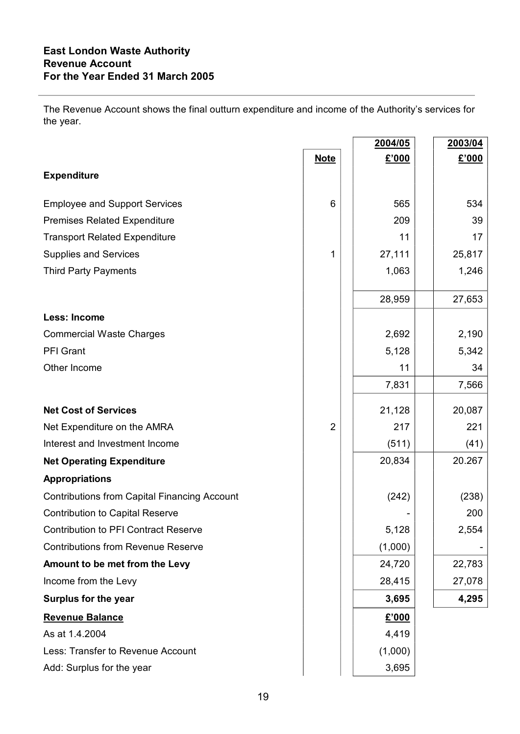The Revenue Account shows the final outturn expenditure and income of the Authority's services for the year.

|                                                     |                | 2004/05 | 2003/04 |
|-----------------------------------------------------|----------------|---------|---------|
|                                                     | <b>Note</b>    | £'000   | £'000   |
| <b>Expenditure</b>                                  |                |         |         |
| <b>Employee and Support Services</b>                | 6              | 565     | 534     |
| <b>Premises Related Expenditure</b>                 |                | 209     | 39      |
| <b>Transport Related Expenditure</b>                |                | 11      | 17      |
| <b>Supplies and Services</b>                        | 1              | 27,111  | 25,817  |
| <b>Third Party Payments</b>                         |                | 1,063   | 1,246   |
|                                                     |                | 28,959  | 27,653  |
| <b>Less: Income</b>                                 |                |         |         |
| <b>Commercial Waste Charges</b>                     |                | 2,692   | 2,190   |
| <b>PFI</b> Grant                                    |                | 5,128   | 5,342   |
| Other Income                                        |                | 11      | 34      |
|                                                     |                | 7,831   | 7,566   |
| <b>Net Cost of Services</b>                         |                | 21,128  | 20,087  |
| Net Expenditure on the AMRA                         | $\overline{2}$ | 217     | 221     |
| Interest and Investment Income                      |                | (511)   | (41)    |
| <b>Net Operating Expenditure</b>                    |                | 20,834  | 20.267  |
| <b>Appropriations</b>                               |                |         |         |
| <b>Contributions from Capital Financing Account</b> |                | (242)   | (238)   |
| <b>Contribution to Capital Reserve</b>              |                |         | 200     |
| <b>Contribution to PFI Contract Reserve</b>         |                | 5,128   | 2,554   |
| <b>Contributions from Revenue Reserve</b>           |                | (1,000) |         |
| Amount to be met from the Levy                      |                | 24,720  | 22,783  |
| Income from the Levy                                |                | 28,415  | 27,078  |
| Surplus for the year                                |                | 3,695   | 4,295   |
| <b>Revenue Balance</b>                              |                | £'000   |         |
| As at 1.4.2004                                      |                | 4,419   |         |
| Less: Transfer to Revenue Account                   |                | (1,000) |         |
| Add: Surplus for the year                           |                | 3,695   |         |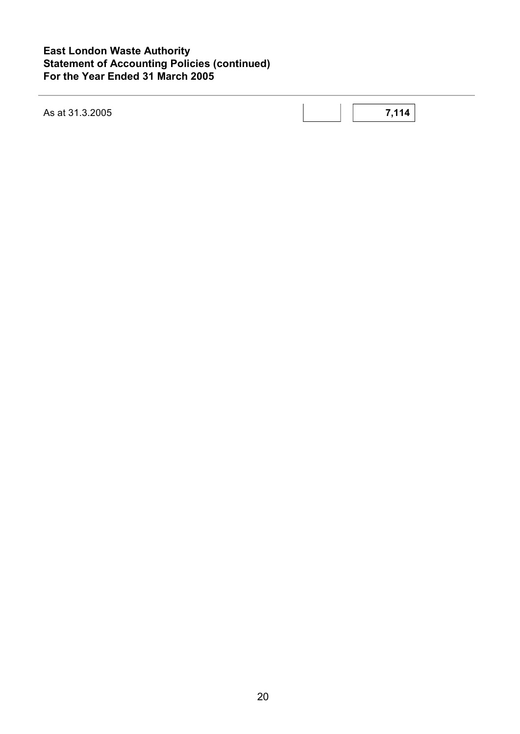# **East London Waste Authority Statement of Accounting Policies (continued) For the Year Ended 31 March 2005**

As at 31.3.2005 **7,114**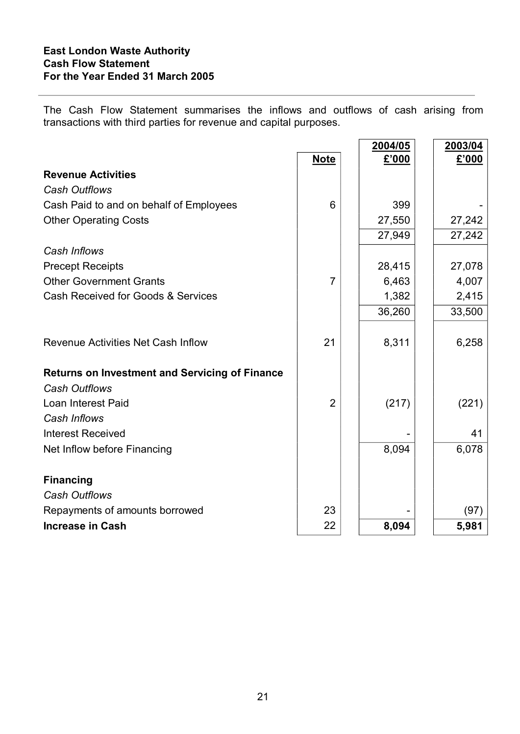The Cash Flow Statement summarises the inflows and outflows of cash arising from transactions with third parties for revenue and capital purposes.

|                                                       |                | 2004/05 | 2003/04 |
|-------------------------------------------------------|----------------|---------|---------|
|                                                       | <b>Note</b>    | £'000   | £'000   |
| <b>Revenue Activities</b>                             |                |         |         |
| <b>Cash Outflows</b>                                  |                |         |         |
| Cash Paid to and on behalf of Employees               | 6              | 399     |         |
| <b>Other Operating Costs</b>                          |                | 27,550  | 27,242  |
|                                                       |                | 27,949  | 27,242  |
| Cash Inflows                                          |                |         |         |
| <b>Precept Receipts</b>                               |                | 28,415  | 27,078  |
| <b>Other Government Grants</b>                        | $\overline{7}$ | 6,463   | 4,007   |
| Cash Received for Goods & Services                    |                | 1,382   | 2,415   |
|                                                       |                | 36,260  | 33,500  |
| <b>Revenue Activities Net Cash Inflow</b>             | 21             | 8,311   | 6,258   |
| <b>Returns on Investment and Servicing of Finance</b> |                |         |         |
| <b>Cash Outflows</b>                                  |                |         |         |
| Loan Interest Paid                                    | $\overline{2}$ | (217)   | (221)   |
| Cash Inflows                                          |                |         |         |
| <b>Interest Received</b>                              |                |         | 41      |
| Net Inflow before Financing                           |                | 8,094   | 6,078   |
| <b>Financing</b>                                      |                |         |         |
| <b>Cash Outflows</b>                                  |                |         |         |
| Repayments of amounts borrowed                        | 23             |         | (97)    |
| <b>Increase in Cash</b>                               | 22             | 8,094   | 5,981   |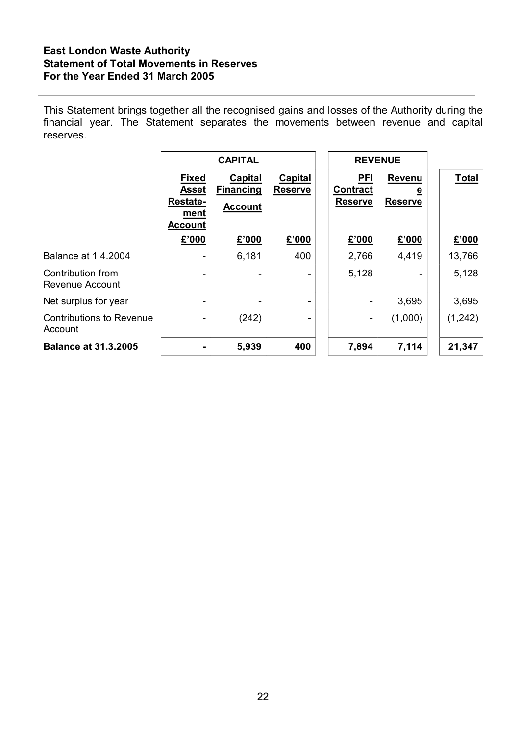#### **East London Waste Authority Statement of Total Movements in Reserves For the Year Ended 31 March 2005**

This Statement brings together all the recognised gains and losses of the Authority during the financial year. The Statement separates the movements between revenue and capital reserves.

|                                      |                                                                    | <b>CAPITAL</b>                                |                           | <b>REVENUE</b>                                  |                                                 |              |  |
|--------------------------------------|--------------------------------------------------------------------|-----------------------------------------------|---------------------------|-------------------------------------------------|-------------------------------------------------|--------------|--|
|                                      | <b>Fixed</b><br>Asset<br><b>Restate-</b><br>ment<br><b>Account</b> | Capital<br><b>Financing</b><br><b>Account</b> | Capital<br><b>Reserve</b> | <b>PFI</b><br><b>Contract</b><br><b>Reserve</b> | <b>Revenu</b><br>$\mathbf{e}$<br><b>Reserve</b> | <b>Total</b> |  |
|                                      | £'000                                                              | £'000                                         | £'000                     | £'000                                           | £'000                                           | £'000        |  |
| Balance at 1.4.2004                  |                                                                    | 6,181                                         | 400                       | 2,766                                           | 4,419                                           | 13,766       |  |
| Contribution from<br>Revenue Account |                                                                    |                                               |                           | 5,128                                           |                                                 | 5,128        |  |
| Net surplus for year                 |                                                                    |                                               | -                         | -                                               | 3,695                                           | 3,695        |  |
| Contributions to Revenue<br>Account  |                                                                    | (242)                                         | -                         | ۰                                               | (1,000)                                         | (1,242)      |  |
| <b>Balance at 31.3.2005</b>          |                                                                    | 5,939                                         | 400                       | 7,894                                           | 7,114                                           | 21,347       |  |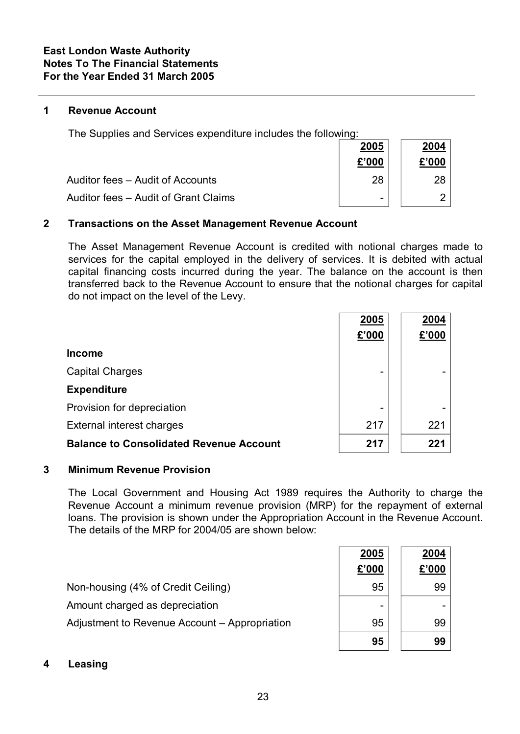#### **1 Revenue Account**

The Supplies and Services expenditure includes the following:

|                                      | £'000 | £'000 |  |
|--------------------------------------|-------|-------|--|
| Auditor fees – Audit of Accounts     | 28    | 28    |  |
| Auditor fees - Audit of Grant Claims | -     |       |  |

# **2 Transactions on the Asset Management Revenue Account**

The Asset Management Revenue Account is credited with notional charges made to services for the capital employed in the delivery of services. It is debited with actual capital financing costs incurred during the year. The balance on the account is then transferred back to the Revenue Account to ensure that the notional charges for capital do not impact on the level of the Levy.

|                                                | 2005<br>£'000 | 2004<br>£'000 |  |
|------------------------------------------------|---------------|---------------|--|
| <b>Income</b>                                  |               |               |  |
| <b>Capital Charges</b>                         |               |               |  |
| <b>Expenditure</b>                             |               |               |  |
| Provision for depreciation                     |               |               |  |
| External interest charges                      | 217           | 221           |  |
| <b>Balance to Consolidated Revenue Account</b> | 217           | 221           |  |

#### **3 Minimum Revenue Provision**

The Local Government and Housing Act 1989 requires the Authority to charge the Revenue Account a minimum revenue provision (MRP) for the repayment of external loans. The provision is shown under the Appropriation Account in the Revenue Account. The details of the MRP for 2004/05 are shown below:

|                                               | £'000 | £'000 |  |
|-----------------------------------------------|-------|-------|--|
| Non-housing (4% of Credit Ceiling)            | 95    | 99    |  |
| Amount charged as depreciation                |       |       |  |
| Adjustment to Revenue Account - Appropriation | 95    | 99    |  |
|                                               |       |       |  |

| <u>2005</u> | 2004  |
|-------------|-------|
| £'000       | £'000 |
| 95          | 99    |
|             |       |
| 95          | 99    |
| 95          | 99    |

**2005 2004**

# **4 Leasing**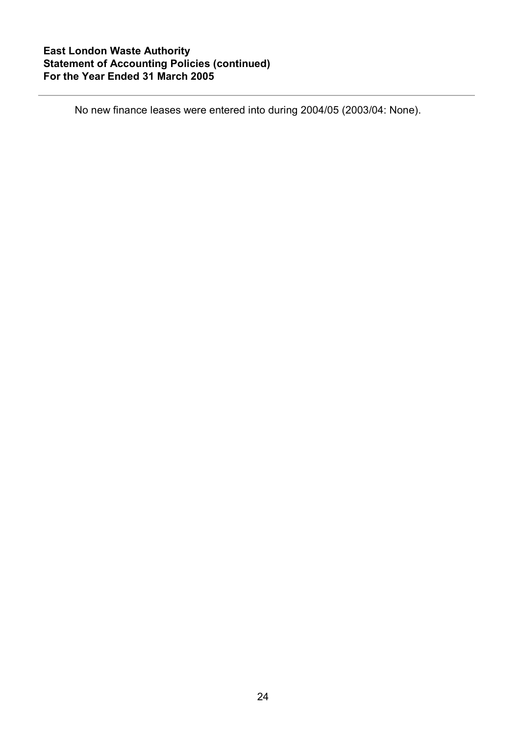# **East London Waste Authority Statement of Accounting Policies (continued) For the Year Ended 31 March 2005**

No new finance leases were entered into during 2004/05 (2003/04: None).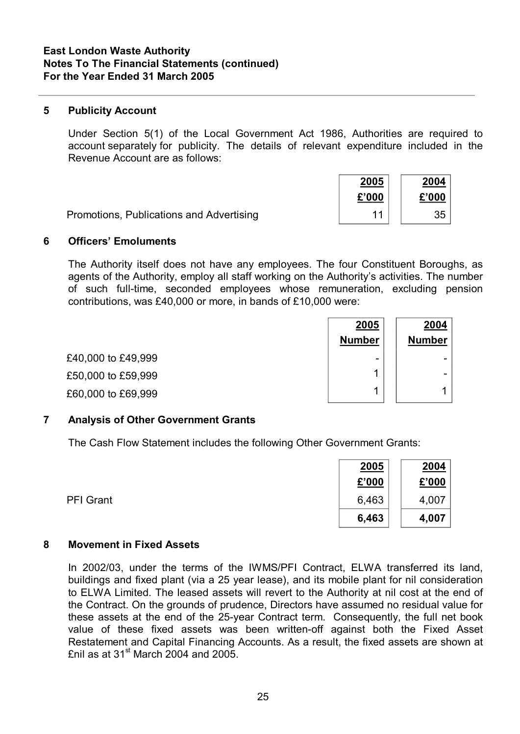# **5 Publicity Account**

Under Section 5(1) of the Local Government Act 1986, Authorities are required to account separately for publicity. The details of relevant expenditure included in the Revenue Account are as follows:

Promotions, Publications and Advertising

| <u>2005</u> | 2004  |
|-------------|-------|
| £'000       | £'000 |
| 11          | 35    |

#### **6 Officers' Emoluments**

The Authority itself does not have any employees. The four Constituent Boroughs, as agents of the Authority, employ all staff working on the Authority's activities. The number of such full-time, seconded employees whose remuneration, excluding pension contributions, was £40,000 or more, in bands of £10,000 were:

|                    | 2005<br><b>Number</b>    | 2004<br><b>Number</b> |
|--------------------|--------------------------|-----------------------|
| £40,000 to £49,999 | $\overline{\phantom{0}}$ | -                     |
| £50,000 to £59,999 |                          | -                     |
| £60,000 to £69,999 |                          |                       |

#### **7 Analysis of Other Government Grants**

The Cash Flow Statement includes the following Other Government Grants:

|                  | 2005  | 2004  |  |
|------------------|-------|-------|--|
|                  | £'000 | £'000 |  |
| <b>PFI Grant</b> | 6,463 | 4,007 |  |
|                  | 6,463 | 4,007 |  |

#### **8 Movement in Fixed Assets**

In 2002/03, under the terms of the IWMS/PFI Contract, ELWA transferred its land, buildings and fixed plant (via a 25 year lease), and its mobile plant for nil consideration to ELWA Limited. The leased assets will revert to the Authority at nil cost at the end of the Contract. On the grounds of prudence, Directors have assumed no residual value for these assets at the end of the 25-year Contract term. Consequently, the full net book value of these fixed assets was been written-off against both the Fixed Asset Restatement and Capital Financing Accounts. As a result, the fixed assets are shown at  $F$ nil as at 31 $\mathrm{^{st}}$  March 2004 and 2005.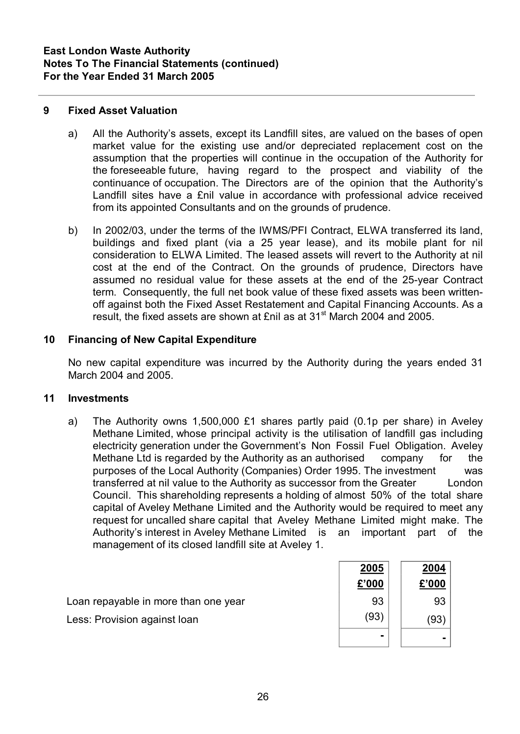# **9 Fixed Asset Valuation**

- a) All the Authority's assets, except its Landfill sites, are valued on the bases of open market value for the existing use and/or depreciated replacement cost on the assumption that the properties will continue in the occupation of the Authority for the foreseeable future, having regard to the prospect and viability of the continuance of occupation. The Directors are of the opinion that the Authority's Landfill sites have a  $Enil$  value in accordance with professional advice received from its appointed Consultants and on the grounds of prudence.
- b) In 2002/03, under the terms of the IWMS/PFI Contract, ELWA transferred its land, buildings and fixed plant (via a 25 year lease), and its mobile plant for nil consideration to ELWA Limited. The leased assets will revert to the Authority at nil cost at the end of the Contract. On the grounds of prudence, Directors have assumed no residual value for these assets at the end of the 25-year Contract term. Consequently, the full net book value of these fixed assets was been writtenoff against both the Fixed Asset Restatement and Capital Financing Accounts. As a result, the fixed assets are shown at  $Enil$  as at  $31<sup>st</sup>$  March 2004 and 2005.

#### **10 Financing of New Capital Expenditure**

No new capital expenditure was incurred by the Authority during the years ended 31 March 2004 and 2005.

#### **11 Investments**

a) The Authority owns 1,500,000 £1 shares partly paid (0.1p per share) in Aveley Methane Limited, whose principal activity is the utilisation of landfill gas including electricity generation under the Government's Non Fossil Fuel Obligation. Aveley Methane Ltd is regarded by the Authority as an authorised company for the purposes of the Local Authority (Companies) Order 1995. The investment was transferred at nil value to the Authority as successor from the Greater London Council. This shareholding represents a holding of almost 50% of the total share capital of Aveley Methane Limited and the Authority would be required to meet any request for uncalled share capital that Aveley Methane Limited might make. The Authority's interest in Aveley Methane Limited is an important part of the management of its closed landfill site at Aveley 1.

|                                      | 2005  | 2004  |  |
|--------------------------------------|-------|-------|--|
|                                      | £'000 | £'000 |  |
| Loan repayable in more than one year | 93    | 93    |  |
| Less: Provision against loan         | (93)  | (93)  |  |
|                                      | -     |       |  |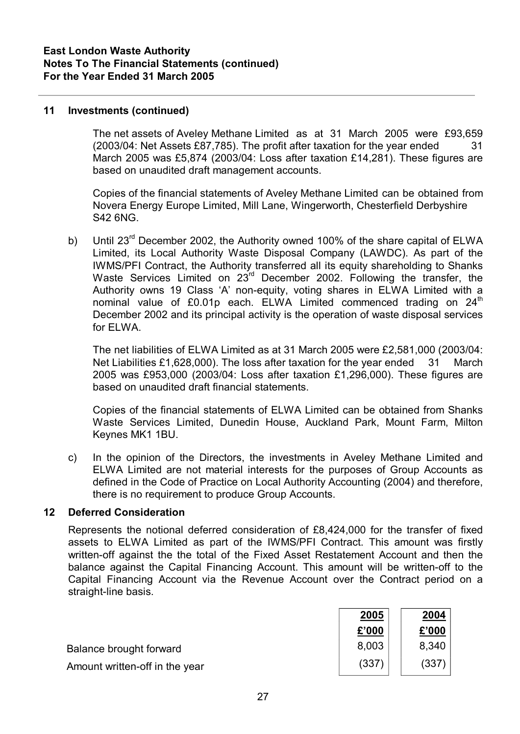#### **11 Investments (continued)**

The net assets of Aveley Methane Limited as at 31 March 2005 were £93,659 (2003/04: Net Assets £87,785). The profit after taxation for the year ended 31 March 2005 was £5,874 (2003/04: Loss after taxation £14,281). These figures are based on unaudited draft management accounts.

Copies of the financial statements of Aveley Methane Limited can be obtained from Novera Energy Europe Limited, Mill Lane, Wingerworth, Chesterfield Derbyshire S42 6NG.

b) Until 23<sup>rd</sup> December 2002, the Authority owned 100% of the share capital of ELWA Limited, its Local Authority Waste Disposal Company (LAWDC). As part of the IWMS/PFI Contract, the Authority transferred all its equity shareholding to Shanks Waste Services Limited on 23<sup>rd</sup> December 2002. Following the transfer, the Authority owns 19 Class 'A' non-equity, voting shares in ELWA Limited with a nominal value of £0.01p each. ELWA Limited commenced trading on 24<sup>th</sup> December 2002 and its principal activity is the operation of waste disposal services for ELWA.

The net liabilities of ELWA Limited as at 31 March 2005 were £2,581,000 (2003/04: Net Liabilities £1,628,000). The loss after taxation for the year ended 31 March 2005 was £953,000 (2003/04: Loss after taxation £1,296,000). These figures are based on unaudited draft financial statements.

Copies of the financial statements of ELWA Limited can be obtained from Shanks Waste Services Limited, Dunedin House, Auckland Park, Mount Farm, Milton Keynes MK1 1BU.

c) In the opinion of the Directors, the investments in Aveley Methane Limited and ELWA Limited are not material interests for the purposes of Group Accounts as defined in the Code of Practice on Local Authority Accounting (2004) and therefore, there is no requirement to produce Group Accounts.

#### **12 Deferred Consideration**

Represents the notional deferred consideration of £8,424,000 for the transfer of fixed assets to ELWA Limited as part of the IWMS/PFI Contract. This amount was firstly written-off against the the total of the Fixed Asset Restatement Account and then the balance against the Capital Financing Account. This amount will be written-off to the Capital Financing Account via the Revenue Account over the Contract period on a straight-line basis.

|                                | 2005  | 2004  |  |
|--------------------------------|-------|-------|--|
|                                | £'000 | £'000 |  |
| Balance brought forward        | 8,003 | 8,340 |  |
| Amount written-off in the year | (337) | (337) |  |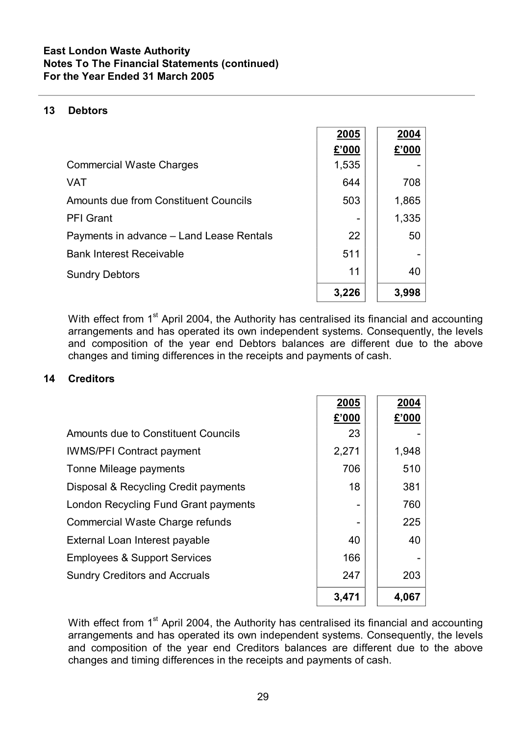# **13 Debtors**

|                                          | 2005  | 2004  |  |
|------------------------------------------|-------|-------|--|
|                                          | £'000 | £'000 |  |
| <b>Commercial Waste Charges</b>          | 1,535 |       |  |
| <b>VAT</b>                               | 644   | 708   |  |
| Amounts due from Constituent Councils    | 503   | 1,865 |  |
| <b>PFI</b> Grant                         |       | 1,335 |  |
| Payments in advance – Land Lease Rentals | 22    | 50    |  |
| <b>Bank Interest Receivable</b>          | 511   |       |  |
| <b>Sundry Debtors</b>                    | 11    | 40    |  |
|                                          |       | 3,998 |  |

With effect from 1<sup>st</sup> April 2004, the Authority has centralised its financial and accounting arrangements and has operated its own independent systems. Consequently, the levels and composition of the year end Debtors balances are different due to the above changes and timing differences in the receipts and payments of cash.

#### **14 Creditors**

|                                         | 2005<br>£'000 | 2004<br>£'000 |
|-----------------------------------------|---------------|---------------|
| Amounts due to Constituent Councils     | 23            |               |
| <b>IWMS/PFI Contract payment</b>        | 2,271         | 1,948         |
| Tonne Mileage payments                  | 706           | 510           |
| Disposal & Recycling Credit payments    | 18            | 381           |
| London Recycling Fund Grant payments    |               | 760           |
| Commercial Waste Charge refunds         |               | 225           |
| External Loan Interest payable          | 40            | 40            |
| <b>Employees &amp; Support Services</b> | 166           |               |
| <b>Sundry Creditors and Accruals</b>    | 247           | 203           |
|                                         | 3,471         | 4,067         |

With effect from 1<sup>st</sup> April 2004, the Authority has centralised its financial and accounting arrangements and has operated its own independent systems. Consequently, the levels and composition of the year end Creditors balances are different due to the above changes and timing differences in the receipts and payments of cash.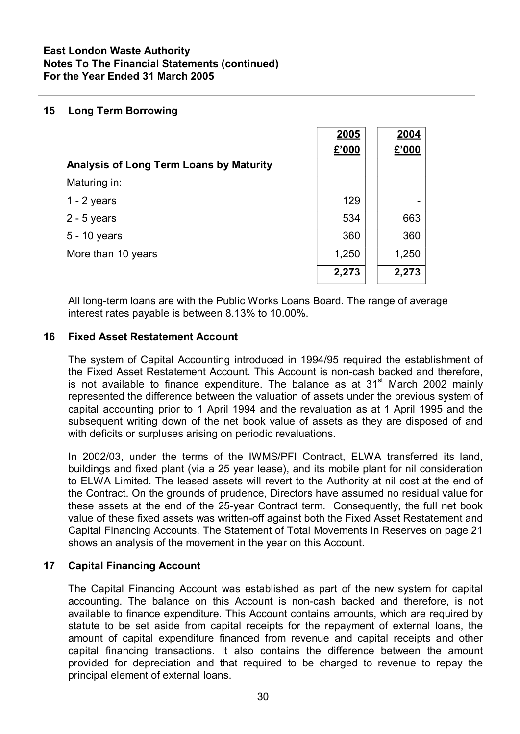# **15 Long Term Borrowing**

|                                                | 2005  | 2004  |
|------------------------------------------------|-------|-------|
|                                                | £'000 | £'000 |
| <b>Analysis of Long Term Loans by Maturity</b> |       |       |
| Maturing in:                                   |       |       |
| 1 - 2 years                                    | 129   | -     |
| $2 - 5$ years                                  | 534   | 663   |
| $5 - 10$ years                                 | 360   | 360   |
| More than 10 years                             | 1,250 | 1,250 |
|                                                | 2,273 | 2,273 |

All long-term loans are with the Public Works Loans Board. The range of average interest rates payable is between 8.13% to 10.00%.

#### **16 Fixed Asset Restatement Account**

The system of Capital Accounting introduced in 1994/95 required the establishment of the Fixed Asset Restatement Account. This Account is non-cash backed and therefore, is not available to finance expenditure. The balance as at  $31<sup>st</sup>$  March 2002 mainly represented the difference between the valuation of assets under the previous system of capital accounting prior to 1 April 1994 and the revaluation as at 1 April 1995 and the subsequent writing down of the net book value of assets as they are disposed of and with deficits or surpluses arising on periodic revaluations.

In 2002/03, under the terms of the IWMS/PFI Contract, ELWA transferred its land, buildings and fixed plant (via a 25 year lease), and its mobile plant for nil consideration to ELWA Limited. The leased assets will revert to the Authority at nil cost at the end of the Contract. On the grounds of prudence, Directors have assumed no residual value for these assets at the end of the 25-year Contract term. Consequently, the full net book value of these fixed assets was written-off against both the Fixed Asset Restatement and Capital Financing Accounts. The Statement of Total Movements in Reserves on page 21 shows an analysis of the movement in the year on this Account.

#### **17 Capital Financing Account**

The Capital Financing Account was established as part of the new system for capital accounting. The balance on this Account is non-cash backed and therefore, is not available to finance expenditure. This Account contains amounts, which are required by statute to be set aside from capital receipts for the repayment of external loans, the amount of capital expenditure financed from revenue and capital receipts and other capital financing transactions. It also contains the difference between the amount provided for depreciation and that required to be charged to revenue to repay the principal element of external loans.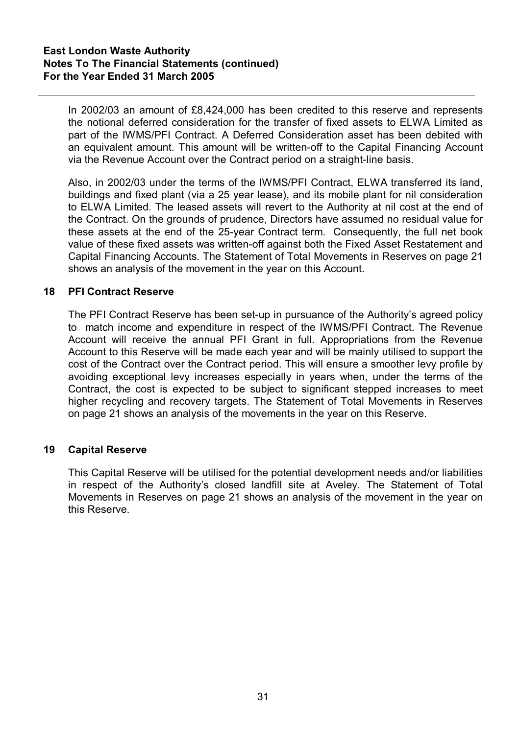In 2002/03 an amount of £8,424,000 has been credited to this reserve and represents the notional deferred consideration for the transfer of fixed assets to ELWA Limited as part of the IWMS/PFI Contract. A Deferred Consideration asset has been debited with an equivalent amount. This amount will be written-off to the Capital Financing Account via the Revenue Account over the Contract period on a straight-line basis.

Also, in 2002/03 under the terms of the IWMS/PFI Contract, ELWA transferred its land, buildings and fixed plant (via a 25 year lease), and its mobile plant for nil consideration to ELWA Limited. The leased assets will revert to the Authority at nil cost at the end of the Contract. On the grounds of prudence, Directors have assumed no residual value for these assets at the end of the 25-year Contract term. Consequently, the full net book value of these fixed assets was written-off against both the Fixed Asset Restatement and Capital Financing Accounts. The Statement of Total Movements in Reserves on page 21 shows an analysis of the movement in the year on this Account.

#### **18 PFI Contract Reserve**

The PFI Contract Reserve has been set-up in pursuance of the Authority's agreed policy to match income and expenditure in respect of the IWMS/PFI Contract. The Revenue Account will receive the annual PFI Grant in full. Appropriations from the Revenue Account to this Reserve will be made each year and will be mainly utilised to support the cost of the Contract over the Contract period. This will ensure a smoother levy profile by avoiding exceptional levy increases especially in years when, under the terms of the Contract, the cost is expected to be subject to significant stepped increases to meet higher recycling and recovery targets. The Statement of Total Movements in Reserves on page 21 shows an analysis of the movements in the year on this Reserve.

#### **19 Capital Reserve**

This Capital Reserve will be utilised for the potential development needs and/or liabilities in respect of the Authority's closed landfill site at Aveley. The Statement of Total Movements in Reserves on page 21 shows an analysis of the movement in the year on this Reserve.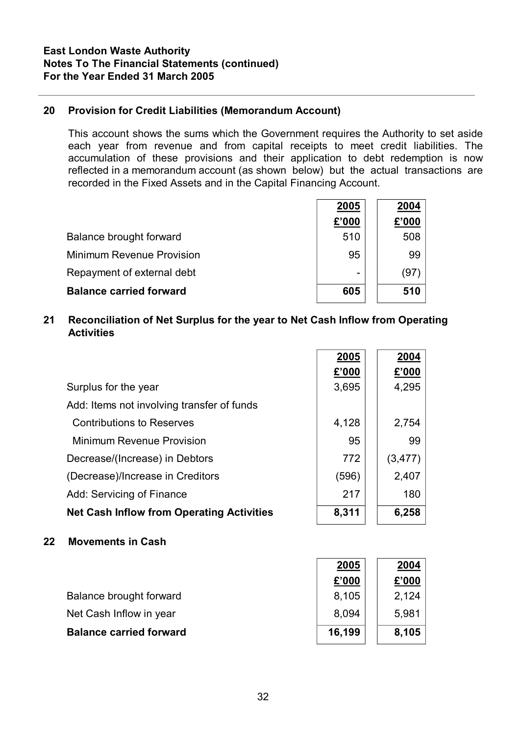# **20 Provision for Credit Liabilities (Memorandum Account)**

This account shows the sums which the Government requires the Authority to set aside each year from revenue and from capital receipts to meet credit liabilities. The accumulation of these provisions and their application to debt redemption is now reflected in a memorandum account (as shown below) but the actual transactions are recorded in the Fixed Assets and in the Capital Financing Account.

|                                  | 2005  | 2004  |  |
|----------------------------------|-------|-------|--|
|                                  | £'000 | £'000 |  |
| Balance brought forward          | 510   | 508   |  |
| <b>Minimum Revenue Provision</b> | 95    | 99    |  |
| Repayment of external debt       | -     | (97   |  |
| <b>Balance carried forward</b>   | 605   | 510   |  |

# **21 Reconciliation of Net Surplus for the year to Net Cash Inflow from Operating Activities**

|                                                  | 2005  | 2004     |
|--------------------------------------------------|-------|----------|
|                                                  | £'000 | £'000    |
| Surplus for the year                             | 3,695 | 4,295    |
| Add: Items not involving transfer of funds       |       |          |
| <b>Contributions to Reserves</b>                 | 4,128 | 2,754    |
| Minimum Revenue Provision                        | 95    | 99       |
| Decrease/(Increase) in Debtors                   | 772   | (3, 477) |
| (Decrease)/Increase in Creditors                 | (596) | 2,407    |
| Add: Servicing of Finance                        | 217   | 180      |
| <b>Net Cash Inflow from Operating Activities</b> | 8,311 | 6,258    |

#### **22 Movements in Cash**

|                                | 2005   | 2004  |
|--------------------------------|--------|-------|
|                                | £'000  | £'000 |
| Balance brought forward        | 8,105  | 2,124 |
| Net Cash Inflow in year        | 8,094  | 5,981 |
| <b>Balance carried forward</b> | 16,199 | 8,105 |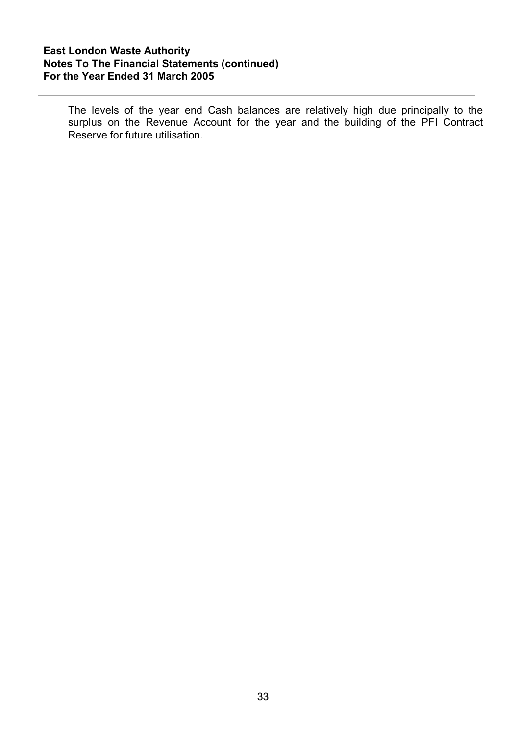The levels of the year end Cash balances are relatively high due principally to the surplus on the Revenue Account for the year and the building of the PFI Contract Reserve for future utilisation.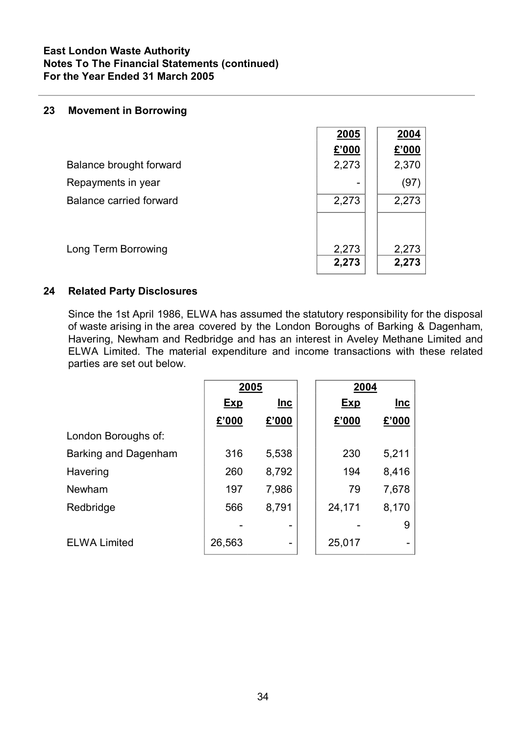#### **23 Movement in Borrowing**

|                         | 2005           | 2004           |
|-------------------------|----------------|----------------|
|                         | £'000          | £'000          |
| Balance brought forward | 2,273          | 2,370          |
| Repayments in year      |                | (97)           |
| Balance carried forward | 2,273          | 2,273          |
| Long Term Borrowing     | 2,273<br>2,273 | 2,273<br>2,273 |

# **24 Related Party Disclosures**

Since the 1st April 1986, ELWA has assumed the statutory responsibility for the disposal of waste arising in the area covered by the London Boroughs of Barking & Dagenham, Havering, Newham and Redbridge and has an interest in Aveley Methane Limited and ELWA Limited. The material expenditure and income transactions with these related parties are set out below.

|                      | 2005       |                          |  |            |                          | 2004 |  |  |  |  |
|----------------------|------------|--------------------------|--|------------|--------------------------|------|--|--|--|--|
|                      | <u>Exp</u> | <u>Inc</u>               |  | <u>Exp</u> | <u>Inc</u>               |      |  |  |  |  |
|                      | £'000      | £'000                    |  | £'000      | £'000                    |      |  |  |  |  |
| London Boroughs of:  |            |                          |  |            |                          |      |  |  |  |  |
| Barking and Dagenham | 316        | 5,538                    |  | 230        | 5,211                    |      |  |  |  |  |
| Havering             | 260        | 8,792                    |  | 194        | 8,416                    |      |  |  |  |  |
| Newham               | 197        | 7,986                    |  | 79         | 7,678                    |      |  |  |  |  |
| Redbridge            | 566        | 8,791                    |  | 24,171     | 8,170                    |      |  |  |  |  |
|                      |            | -                        |  |            | 9                        |      |  |  |  |  |
| <b>ELWA Limited</b>  | 26,563     | $\overline{\phantom{0}}$ |  | 25,017     | $\overline{\phantom{0}}$ |      |  |  |  |  |